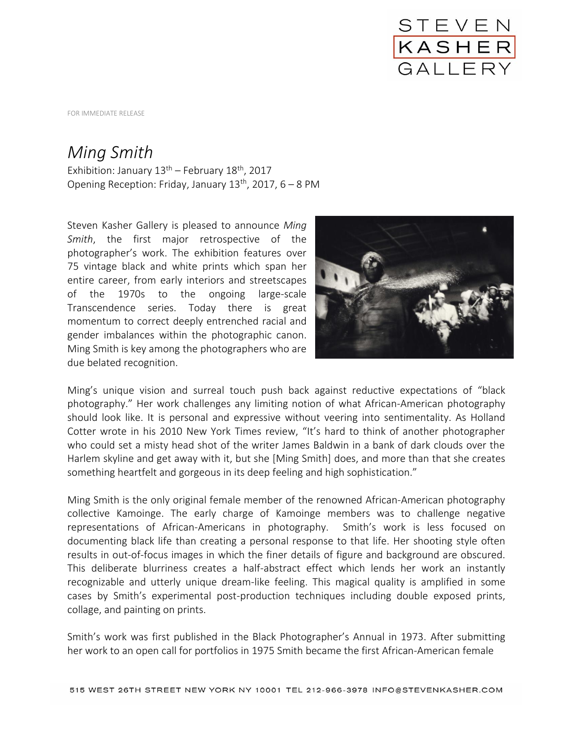

FOR IMMEDIATE RELEASE

## *Ming Smith*

Exhibition: January  $13^{th}$  – February  $18^{th}$ , 2017 Opening Reception: Friday, January  $13<sup>th</sup>$ , 2017, 6 – 8 PM

Steven Kasher Gallery is pleased to announce *Ming Smith*, the first major retrospective of the photographer's work. The exhibition features over 75 vintage black and white prints which span her entire career, from early interiors and streetscapes of the 1970s to the ongoing large-scale Transcendence series. Today there is great momentum to correct deeply entrenched racial and gender imbalances within the photographic canon. Ming Smith is key among the photographers who are due belated recognition.



Ming's unique vision and surreal touch push back against reductive expectations of "black photography." Her work challenges any limiting notion of what African-American photography should look like. It is personal and expressive without veering into sentimentality. As Holland Cotter wrote in his 2010 New York Times review, "It's hard to think of another photographer who could set a misty head shot of the writer James Baldwin in a bank of dark clouds over the Harlem skyline and get away with it, but she [Ming Smith] does, and more than that she creates something heartfelt and gorgeous in its deep feeling and high sophistication."

Ming Smith is the only original female member of the renowned African-American photography collective Kamoinge. The early charge of Kamoinge members was to challenge negative representations of African-Americans in photography. Smith's work is less focused on documenting black life than creating a personal response to that life. Her shooting style often results in out-of-focus images in which the finer details of figure and background are obscured. This deliberate blurriness creates a half-abstract effect which lends her work an instantly recognizable and utterly unique dream-like feeling. This magical quality is amplified in some cases by Smith's experimental post-production techniques including double exposed prints, collage, and painting on prints.

Smith's work was first published in the Black Photographer's Annual in 1973. After submitting her work to an open call for portfolios in 1975 Smith became the first African-American female